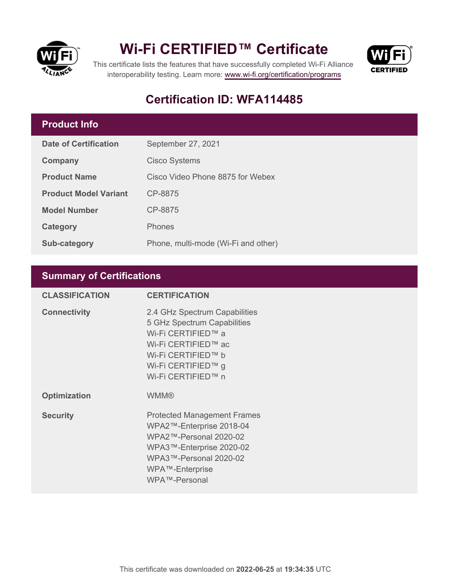

# **Wi-Fi CERTIFIED™ Certificate**



This certificate lists the features that have successfully completed Wi-Fi Alliance interoperability testing. Learn more:<www.wi-fi.org/certification/programs>

# **Certification ID: WFA114485**

# **Product Info**

| Date of Certification        | September 27, 2021                  |
|------------------------------|-------------------------------------|
| <b>Company</b>               | <b>Cisco Systems</b>                |
| <b>Product Name</b>          | Cisco Video Phone 8875 for Webex    |
| <b>Product Model Variant</b> | CP-8875                             |
| <b>Model Number</b>          | CP-8875                             |
| Category                     | <b>Phones</b>                       |
| Sub-category                 | Phone, multi-mode (Wi-Fi and other) |

## **Summary of Certifications**

| <b>CLASSIFICATION</b> | <b>CERTIFICATION</b>                                                                                                                                                               |
|-----------------------|------------------------------------------------------------------------------------------------------------------------------------------------------------------------------------|
| <b>Connectivity</b>   | 2.4 GHz Spectrum Capabilities<br>5 GHz Spectrum Capabilities<br>Wi-Fi CERTIFIED™ a<br>Wi-Fi CERTIFIED™ ac<br>Wi-Fi CERTIFIED™ b<br>Wi-Fi CERTIFIED™ g<br>Wi-Fi CERTIFIED™ n        |
| <b>Optimization</b>   | <b>WMM®</b>                                                                                                                                                                        |
| <b>Security</b>       | <b>Protected Management Frames</b><br>WPA2™-Enterprise 2018-04<br>WPA2™-Personal 2020-02<br>WPA3™-Enterprise 2020-02<br>WPA3™-Personal 2020-02<br>WPA™-Enterprise<br>WPA™-Personal |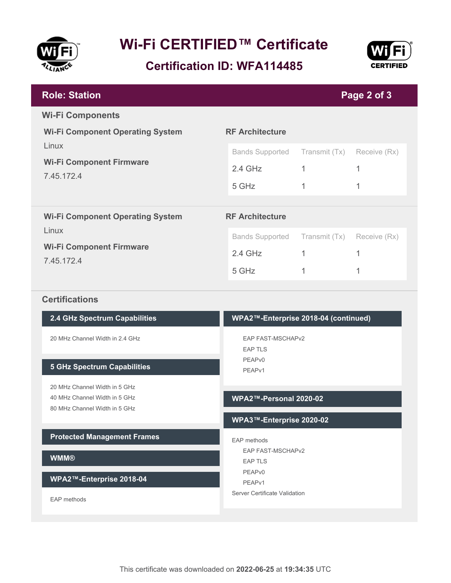

# **Wi-Fi CERTIFIED™ Certificate**

**Certification ID: WFA114485**



| <b>Role: Station</b>                                              | Page 2 of 3            |               |              |  |
|-------------------------------------------------------------------|------------------------|---------------|--------------|--|
| <b>Wi-Fi Components</b>                                           |                        |               |              |  |
| <b>Wi-Fi Component Operating System</b>                           | <b>RF Architecture</b> |               |              |  |
| Linux                                                             | <b>Bands Supported</b> | Transmit (Tx) | Receive (Rx) |  |
| <b>Wi-Fi Component Firmware</b><br>7.45.172.4                     | $2.4$ GHz              | 1             |              |  |
|                                                                   | 5 GHz                  | 1             | 1            |  |
|                                                                   |                        |               |              |  |
| <b>RF Architecture</b><br><b>Wi-Fi Component Operating System</b> |                        |               |              |  |
| Linux                                                             | <b>Bands Supported</b> | Transmit (Tx) | Receive (Rx) |  |
| <b>Wi-Fi Component Firmware</b><br>7.45.172.4                     | $2.4$ GHz              |               | 1            |  |
|                                                                   | 5 GHz                  |               |              |  |

### **Certifications**

| 2.4 GHz Spectrum Capabilities                                                                   | WPA2™-Enterprise 2018-04 (continued)       |  |
|-------------------------------------------------------------------------------------------------|--------------------------------------------|--|
| 20 MHz Channel Width in 2 4 GHz                                                                 | <b>EAP FAST-MSCHAPv2</b><br><b>EAP TLS</b> |  |
| <b>5 GHz Spectrum Capabilities</b>                                                              | PEAP <sub>v0</sub><br>PEAP <sub>v1</sub>   |  |
| 20 MHz Channel Width in 5 GHz<br>40 MHz Channel Width in 5 GHz<br>80 MHz Channel Width in 5 GHz | WPA2™-Personal 2020-02                     |  |
|                                                                                                 | WPA3™-Enterprise 2020-02                   |  |
| <b>Protected Management Frames</b>                                                              | EAP methods                                |  |
| <b>WMM®</b>                                                                                     | <b>EAP FAST-MSCHAPv2</b><br><b>EAP TLS</b> |  |
| WPA2™-Enterprise 2018-04                                                                        | PEAP <sub>v0</sub><br>PEAP <sub>v1</sub>   |  |
| EAP methods                                                                                     | Server Certificate Validation              |  |